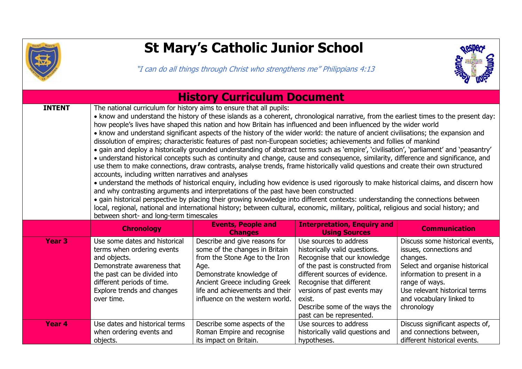

## **St Mary's Catholic Junior School**

"I can do all things through Christ who strengthens me" Philippians 4:13



| <b>History Curriculum Document</b> |                                                                                                                                                                                                                                                                                                                                                                                                                                                                                                                                                                                                                                                                                                                                                                                                                                                                                                                                                                                                                                                                                                                                                                                                                                                                                                                                                                                                                                                                                                                                                                                                                                       |                                                                                                                                                                                                                                               |                                                                                                                                                                                                                                                                                                |                                                                                                                                                                                                                                      |  |  |  |
|------------------------------------|---------------------------------------------------------------------------------------------------------------------------------------------------------------------------------------------------------------------------------------------------------------------------------------------------------------------------------------------------------------------------------------------------------------------------------------------------------------------------------------------------------------------------------------------------------------------------------------------------------------------------------------------------------------------------------------------------------------------------------------------------------------------------------------------------------------------------------------------------------------------------------------------------------------------------------------------------------------------------------------------------------------------------------------------------------------------------------------------------------------------------------------------------------------------------------------------------------------------------------------------------------------------------------------------------------------------------------------------------------------------------------------------------------------------------------------------------------------------------------------------------------------------------------------------------------------------------------------------------------------------------------------|-----------------------------------------------------------------------------------------------------------------------------------------------------------------------------------------------------------------------------------------------|------------------------------------------------------------------------------------------------------------------------------------------------------------------------------------------------------------------------------------------------------------------------------------------------|--------------------------------------------------------------------------------------------------------------------------------------------------------------------------------------------------------------------------------------|--|--|--|
| <b>INTENT</b>                      | The national curriculum for history aims to ensure that all pupils:<br>• know and understand the history of these islands as a coherent, chronological narrative, from the earliest times to the present day:<br>how people's lives have shaped this nation and how Britain has influenced and been influenced by the wider world<br>• know and understand significant aspects of the history of the wider world: the nature of ancient civilisations; the expansion and<br>dissolution of empires; characteristic features of past non-European societies; achievements and follies of mankind<br>• gain and deploy a historically grounded understanding of abstract terms such as 'empire', 'civilisation', 'parliament' and 'peasantry'<br>• understand historical concepts such as continuity and change, cause and consequence, similarity, difference and significance, and<br>use them to make connections, draw contrasts, analyse trends, frame historically valid questions and create their own structured<br>accounts, including written narratives and analyses<br>• understand the methods of historical enquiry, including how evidence is used rigorously to make historical claims, and discern how<br>and why contrasting arguments and interpretations of the past have been constructed<br>• gain historical perspective by placing their growing knowledge into different contexts: understanding the connections between<br>local, regional, national and international history; between cultural, economic, military, political, religious and social history; and<br>between short- and long-term timescales |                                                                                                                                                                                                                                               |                                                                                                                                                                                                                                                                                                |                                                                                                                                                                                                                                      |  |  |  |
|                                    |                                                                                                                                                                                                                                                                                                                                                                                                                                                                                                                                                                                                                                                                                                                                                                                                                                                                                                                                                                                                                                                                                                                                                                                                                                                                                                                                                                                                                                                                                                                                                                                                                                       |                                                                                                                                                                                                                                               |                                                                                                                                                                                                                                                                                                |                                                                                                                                                                                                                                      |  |  |  |
|                                    | <b>Chronology</b>                                                                                                                                                                                                                                                                                                                                                                                                                                                                                                                                                                                                                                                                                                                                                                                                                                                                                                                                                                                                                                                                                                                                                                                                                                                                                                                                                                                                                                                                                                                                                                                                                     | <b>Events, People and</b><br><b>Changes</b>                                                                                                                                                                                                   | <b>Interpretation, Enquiry and</b><br><b>Using Sources</b>                                                                                                                                                                                                                                     | <b>Communication</b>                                                                                                                                                                                                                 |  |  |  |
| <b>Year 3</b>                      | Use some dates and historical<br>terms when ordering events<br>and objects.<br>Demonstrate awareness that<br>the past can be divided into<br>different periods of time.<br>Explore trends and changes<br>over time.                                                                                                                                                                                                                                                                                                                                                                                                                                                                                                                                                                                                                                                                                                                                                                                                                                                                                                                                                                                                                                                                                                                                                                                                                                                                                                                                                                                                                   | Describe and give reasons for<br>some of the changes in Britain<br>from the Stone Age to the Iron<br>Age.<br>Demonstrate knowledge of<br>Ancient Greece including Greek<br>life and achievements and their<br>influence on the western world. | Use sources to address<br>historically valid questions.<br>Recognise that our knowledge<br>of the past is constructed from<br>different sources of evidence.<br>Recognise that different<br>versions of past events may<br>exist.<br>Describe some of the ways the<br>past can be represented. | Discuss some historical events,<br>issues, connections and<br>changes.<br>Select and organise historical<br>information to present in a<br>range of ways.<br>Use relevant historical terms<br>and vocabulary linked to<br>chronology |  |  |  |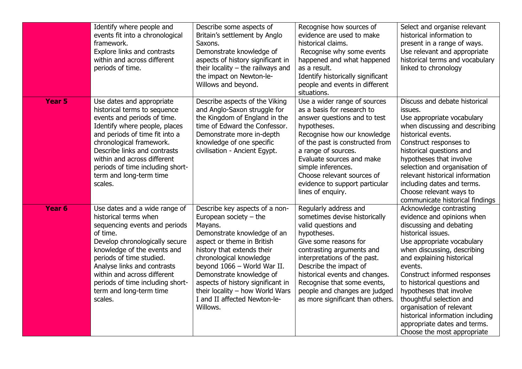|                   | Identify where people and<br>events fit into a chronological<br>framework.<br><b>Explore links and contrasts</b><br>within and across different<br>periods of time.                                                                                                                                                                      | Describe some aspects of<br>Britain's settlement by Anglo<br>Saxons.<br>Demonstrate knowledge of<br>aspects of history significant in<br>their locality $-$ the railways and<br>the impact on Newton-le-<br>Willows and beyond.                                                                                                                                            | Recognise how sources of<br>evidence are used to make<br>historical claims.<br>Recognise why some events<br>happened and what happened<br>as a result.<br>Identify historically significant<br>people and events in different<br>situations.                                                                                                       | Select and organise relevant<br>historical information to<br>present in a range of ways.<br>Use relevant and appropriate<br>historical terms and vocabulary<br>linked to chronology                                                                                                                                                                                                                                                                              |
|-------------------|------------------------------------------------------------------------------------------------------------------------------------------------------------------------------------------------------------------------------------------------------------------------------------------------------------------------------------------|----------------------------------------------------------------------------------------------------------------------------------------------------------------------------------------------------------------------------------------------------------------------------------------------------------------------------------------------------------------------------|----------------------------------------------------------------------------------------------------------------------------------------------------------------------------------------------------------------------------------------------------------------------------------------------------------------------------------------------------|------------------------------------------------------------------------------------------------------------------------------------------------------------------------------------------------------------------------------------------------------------------------------------------------------------------------------------------------------------------------------------------------------------------------------------------------------------------|
| Year 5            | Use dates and appropriate<br>historical terms to sequence<br>events and periods of time.<br>Identify where people, places<br>and periods of time fit into a<br>chronological framework.<br>Describe links and contrasts<br>within and across different<br>periods of time including short-<br>term and long-term time<br>scales.         | Describe aspects of the Viking<br>and Anglo-Saxon struggle for<br>the Kingdom of England in the<br>time of Edward the Confessor.<br>Demonstrate more in-depth<br>knowledge of one specific<br>civilisation - Ancient Egypt.                                                                                                                                                | Use a wider range of sources<br>as a basis for research to<br>answer questions and to test<br>hypotheses.<br>Recognise how our knowledge<br>of the past is constructed from<br>a range of sources.<br>Evaluate sources and make<br>simple inferences.<br>Choose relevant sources of<br>evidence to support particular<br>lines of enquiry.         | Discuss and debate historical<br>issues.<br>Use appropriate vocabulary<br>when discussing and describing<br>historical events.<br>Construct responses to<br>historical questions and<br>hypotheses that involve<br>selection and organisation of<br>relevant historical information<br>including dates and terms.<br>Choose relevant ways to<br>communicate historical findings                                                                                  |
| Year <sub>6</sub> | Use dates and a wide range of<br>historical terms when<br>sequencing events and periods<br>of time.<br>Develop chronologically secure<br>knowledge of the events and<br>periods of time studied.<br>Analyse links and contrasts<br>within and across different<br>periods of time including short-<br>term and long-term time<br>scales. | Describe key aspects of a non-<br>European society $-$ the<br>Mayans.<br>Demonstrate knowledge of an<br>aspect or theme in British<br>history that extends their<br>chronological knowledge<br>beyond 1066 - World War II.<br>Demonstrate knowledge of<br>aspects of history significant in<br>their locality - how World Wars<br>I and II affected Newton-le-<br>Willows. | Regularly address and<br>sometimes devise historically<br>valid questions and<br>hypotheses.<br>Give some reasons for<br>contrasting arguments and<br>interpretations of the past.<br>Describe the impact of<br>historical events and changes.<br>Recognise that some events,<br>people and changes are judged<br>as more significant than others. | Acknowledge contrasting<br>evidence and opinions when<br>discussing and debating<br>historical issues.<br>Use appropriate vocabulary<br>when discussing, describing<br>and explaining historical<br>events.<br>Construct informed responses<br>to historical questions and<br>hypotheses that involve<br>thoughtful selection and<br>organisation of relevant<br>historical information including<br>appropriate dates and terms.<br>Choose the most appropriate |